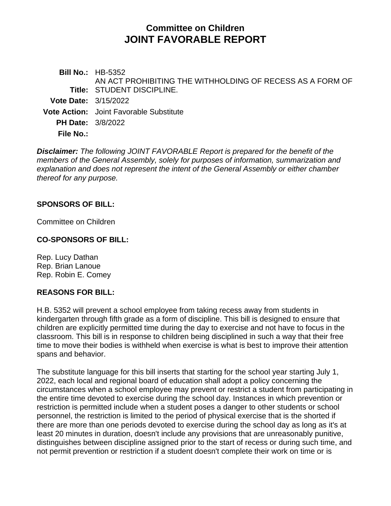# **Committee on Children JOINT FAVORABLE REPORT**

**Bill No.:** HB-5352 **Title:** STUDENT DISCIPLINE. AN ACT PROHIBITING THE WITHHOLDING OF RECESS AS A FORM OF **Vote Date:** 3/15/2022 **Vote Action:** Joint Favorable Substitute **PH Date:** 3/8/2022 **File No.:**

*Disclaimer: The following JOINT FAVORABLE Report is prepared for the benefit of the members of the General Assembly, solely for purposes of information, summarization and explanation and does not represent the intent of the General Assembly or either chamber thereof for any purpose.*

#### **SPONSORS OF BILL:**

Committee on Children

#### **CO-SPONSORS OF BILL:**

Rep. Lucy Dathan Rep. Brian Lanoue Rep. Robin E. Comey

#### **REASONS FOR BILL:**

H.B. 5352 will prevent a school employee from taking recess away from students in kindergarten through fifth grade as a form of discipline. This bill is designed to ensure that children are explicitly permitted time during the day to exercise and not have to focus in the classroom. This bill is in response to children being disciplined in such a way that their free time to move their bodies is withheld when exercise is what is best to improve their attention spans and behavior.

The substitute language for this bill inserts that starting for the school year starting July 1, 2022, each local and regional board of education shall adopt a policy concerning the circumstances when a school employee may prevent or restrict a student from participating in the entire time devoted to exercise during the school day. Instances in which prevention or restriction is permitted include when a student poses a danger to other students or school personnel, the restriction is limited to the period of physical exercise that is the shorted if there are more than one periods devoted to exercise during the school day as long as it's at least 20 minutes in duration, doesn't include any provisions that are unreasonably punitive, distinguishes between discipline assigned prior to the start of recess or during such time, and not permit prevention or restriction if a student doesn't complete their work on time or is